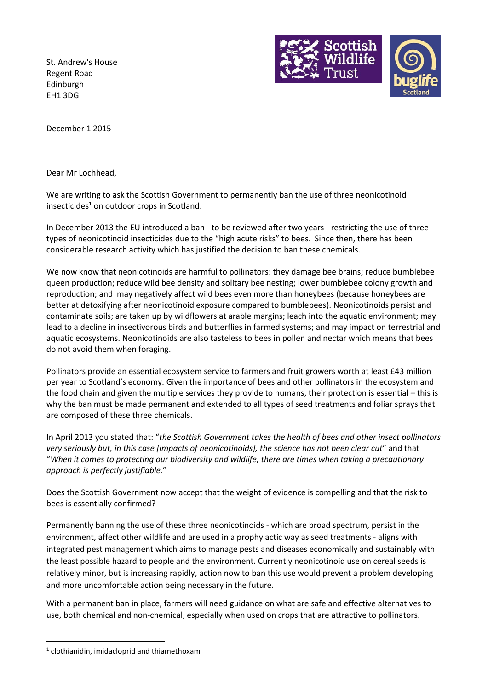St. Andrew's House Regent Road Edinburgh EH1 3DG



December 1 2015

Dear Mr Lochhead,

We are writing to ask the Scottish Government to permanently ban the use of three neonicotinoid insecticides $1$  on outdoor crops in Scotland.

In December 2013 the EU introduced a ban - to be reviewed after two years - restricting the use of three types of neonicotinoid insecticides due to the "high acute risks" to bees. Since then, there has been considerable research activity which has justified the decision to ban these chemicals.

We now know that neonicotinoids are harmful to pollinators: they damage bee brains; reduce bumblebee queen production; reduce wild bee density and solitary bee nesting; lower bumblebee colony growth and reproduction; and may negatively affect wild bees even more than honeybees (because honeybees are better at detoxifying after neonicotinoid exposure compared to bumblebees). Neonicotinoids persist and contaminate soils; are taken up by wildflowers at arable margins; leach into the aquatic environment; may lead to a decline in insectivorous birds and butterflies in farmed systems; and may impact on terrestrial and aquatic ecosystems. Neonicotinoids are also tasteless to bees in pollen and nectar which means that bees do not avoid them when foraging.

Pollinators provide an essential ecosystem service to farmers and fruit growers worth at least £43 million per year to Scotland's economy. Given the importance of bees and other pollinators in the ecosystem and the food chain and given the multiple services they provide to humans, their protection is essential – this is why the ban must be made permanent and extended to all types of seed treatments and foliar sprays that are composed of these three chemicals.

In April 2013 you stated that: "*the Scottish Government takes the health of bees and other insect pollinators very seriously but, in this case [impacts of neonicotinoids], the science has not been clear cut*" and that "*When it comes to protecting our biodiversity and wildlife, there are times when taking a precautionary approach is perfectly justifiable.*"

Does the Scottish Government now accept that the weight of evidence is compelling and that the risk to bees is essentially confirmed?

Permanently banning the use of these three neonicotinoids - which are broad spectrum, persist in the environment, affect other wildlife and are used in a prophylactic way as seed treatments - aligns with integrated pest management which aims to manage pests and diseases economically and sustainably with the least possible hazard to people and the environment. Currently neonicotinoid use on cereal seeds is relatively minor, but is increasing rapidly, action now to ban this use would prevent a problem developing and more uncomfortable action being necessary in the future.

With a permanent ban in place, farmers will need guidance on what are safe and effective alternatives to use, both chemical and non-chemical, especially when used on crops that are attractive to pollinators.

 $\overline{a}$ 

 $<sup>1</sup>$  clothianidin, imidacloprid and thiamethoxam</sup>